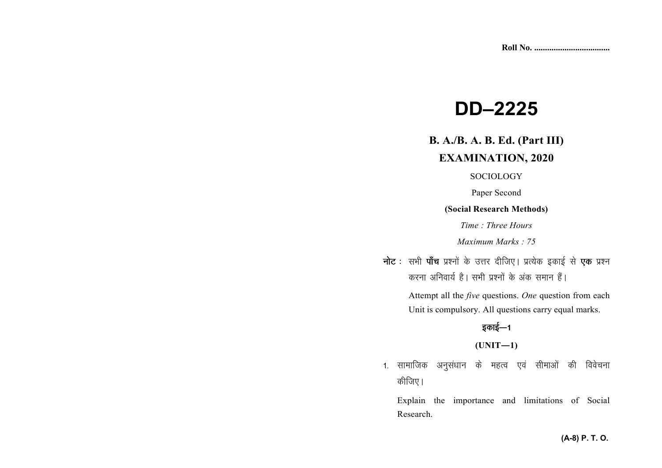# **DD–2225**

# **B. A./B. A. B. Ed. (Part III)**

## **EXAMINATION, 2020**

## **SOCIOLOGY**

Paper Second

#### **(Social Research Methods)**

*Time : Three Hours* 

*Maximum Marks : 75*

नोट : सभी पाँच प्रश्नों के उत्तर दीजिए। प्रत्येक इकाई से **एक** प्रश्न करना अनिवार्य है। सभी प्रश्नों के अंक समान हैं।

 Attempt all the *five* questions. *One* question from each Unit is compulsory. All questions carry equal marks.

## इकाई—1

**(UNIT—1)** 

1. सामाजिक अनुसंधान के महत्व एवं सीमाओं की विवेचना कीजिए।

Explain the importance and limitations of Social Research.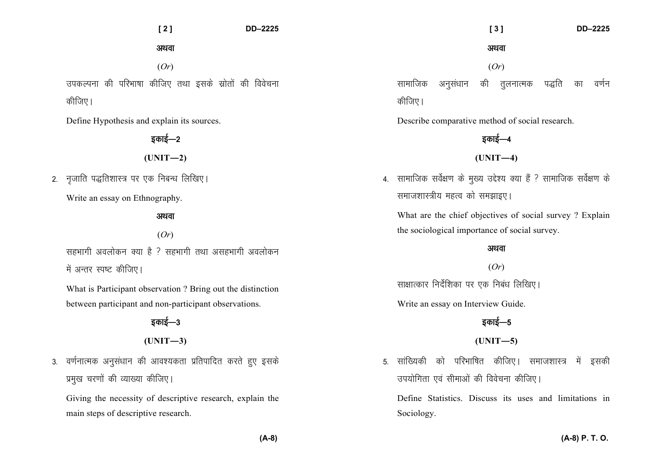**[ 2 ] DD–2225** 

अथवा

(*Or*)

उपकल्पना की परिभाषा कीजिए तथा इसके स्रोतों की विवेचना कीजिए।

Define Hypothesis and explain its sources.

डकाई—2

 $(UNIT-2)$ 

2. नजाति पद्धतिशास्त्र पर एक निबन्ध लिखिए।

Write an essay on Ethnography.

अथवा

## (*Or*)

सहभागी अवलोकन क्या है ? सहभागी तथा असहभागी अवलोकन में अन्तर स्पष्ट कीजिए।

What is Participant observation ? Bring out the distinction between participant and non-participant observations.

# डकाई—3

**(UNIT—3)** 

3. वर्णनात्मक अनुसंधान की आवश्यकता प्रतिपादित करते हुए इसके प्रमुख चरणों की व्याख्या कीजिए।

Giving the necessity of descriptive research, explain the main steps of descriptive research.

(*Or*) सामाजिक अनुसंधान की तुलनात्मक पद्धति का वर्णन कीजिए।

अथवा

 **[ 3 ] DD–2225** 

Describe comparative method of social research.

 $(UNIT-4)$ 

डकाई—4

4. सामाजिक सर्वेक्षण के मुख्य उद्देश्य क्या हैं ? सामाजिक सर्वेक्षण के समाजशास्त्रीय महत्व को समझाइए।

What are the chief objectives of social survey ? Explain the sociological importance of social survey.

#### अथवा

(*Or*)

साक्षात्कार निर्देशिका पर एक निबंध लिखिए।

Write an essay on Interview Guide.

# इकाई—5

**(UNIT—5)** 

5. सांख्यिकी को परिभाषित कीजिए। समाजशास्त्र में इसकी उपयोगिता एवं सीमाओं की विवेचना कीजिए।

Define Statistics. Discuss its uses and limitations in Sociology.